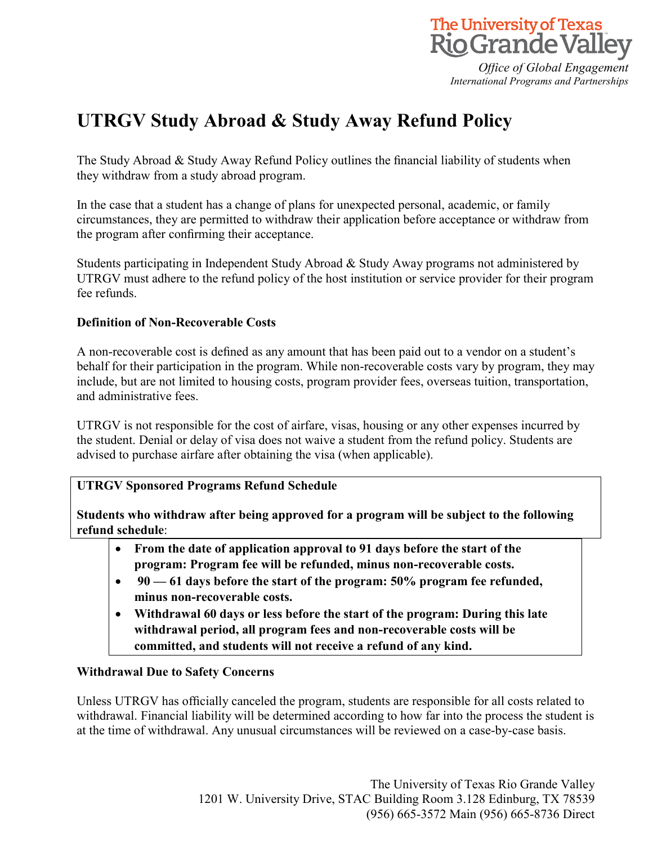

*Office of Global Engagement International Programs and Partnerships*

# **UTRGV Study Abroad & Study Away Refund Policy**

The Study Abroad & Study Away Refund Policy outlines the financial liability of students when they withdraw from a study abroad program.

In the case that a student has a change of plans for unexpected personal, academic, or family circumstances, they are permitted to withdraw their application before acceptance or withdraw from the program after confirming their acceptance.

Students participating in Independent Study Abroad & Study Away programs not administered by UTRGV must adhere to the refund policy of the host institution or service provider for their program fee refunds.

# **Definition of Non-Recoverable Costs**

A non-recoverable cost is defined as any amount that has been paid out to a vendor on a student's behalf for their participation in the program. While non-recoverable costs vary by program, they may include, but are not limited to housing costs, program provider fees, overseas tuition, transportation, and administrative fees.

UTRGV is not responsible for the cost of airfare, visas, housing or any other expenses incurred by the student. Denial or delay of visa does not waive a student from the refund policy. Students are advised to purchase airfare after obtaining the visa (when applicable).

## **UTRGV Sponsored Programs Refund Schedule**

**Students who withdraw after being approved for a program will be subject to the following refund schedule**:

- **From the date of application approval to 91 days before the start of the program: Program fee will be refunded, minus non-recoverable costs.**
- **90 — 61 days before the start of the program: 50% program fee refunded, minus non-recoverable costs.**
- **Withdrawal 60 days or less before the start of the program: During this late withdrawal period, all program fees and non-recoverable costs will be committed, and students will not receive a refund of any kind.**

## **Withdrawal Due to Safety Concerns**

Unless UTRGV has officially canceled the program, students are responsible for all costs related to withdrawal. Financial liability will be determined according to how far into the process the student is at the time of withdrawal. Any unusual circumstances will be reviewed on a case-by-case basis.

> The University of Texas Rio Grande Valley 1201 W. University Drive, STAC Building Room 3.128 Edinburg, TX 78539 (956) 665-3572 Main (956) 665-8736 Direct